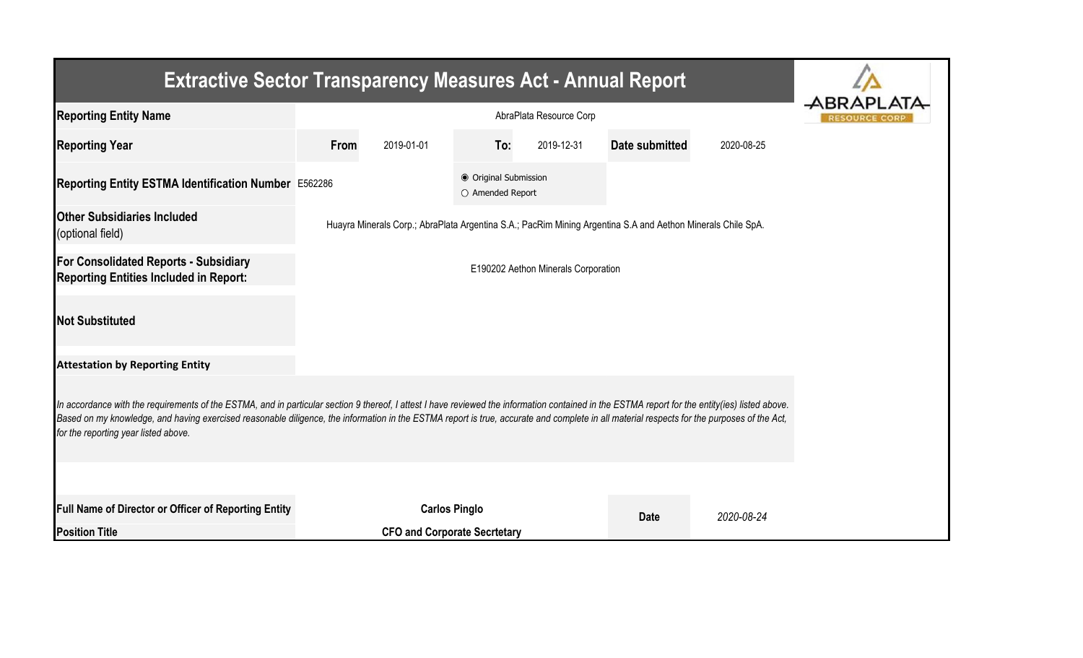| <b>Extractive Sector Transparency Measures Act - Annual Report</b>                                                                                                                                                                                                                                                                                                                                                                    |      |                                     |                                           |            |                                                                                                             |            |  |  |  |  |                     |  |                  |  |
|---------------------------------------------------------------------------------------------------------------------------------------------------------------------------------------------------------------------------------------------------------------------------------------------------------------------------------------------------------------------------------------------------------------------------------------|------|-------------------------------------|-------------------------------------------|------------|-------------------------------------------------------------------------------------------------------------|------------|--|--|--|--|---------------------|--|------------------|--|
| <b>Reporting Entity Name</b>                                                                                                                                                                                                                                                                                                                                                                                                          |      | AbraPlata Resource Corp             |                                           |            |                                                                                                             |            |  |  |  |  | <b>RESOURCE COR</b> |  | <b>ABRAPLATA</b> |  |
| <b>Reporting Year</b>                                                                                                                                                                                                                                                                                                                                                                                                                 | From | 2019-01-01                          | To:                                       | 2019-12-31 | Date submitted                                                                                              | 2020-08-25 |  |  |  |  |                     |  |                  |  |
| Reporting Entity ESTMA Identification Number E562286                                                                                                                                                                                                                                                                                                                                                                                  |      |                                     | ● Original Submission<br>O Amended Report |            |                                                                                                             |            |  |  |  |  |                     |  |                  |  |
| <b>Other Subsidiaries Included</b><br>(optional field)                                                                                                                                                                                                                                                                                                                                                                                |      |                                     |                                           |            | Huayra Minerals Corp.; AbraPlata Argentina S.A.; PacRim Mining Argentina S.A and Aethon Minerals Chile SpA. |            |  |  |  |  |                     |  |                  |  |
| For Consolidated Reports - Subsidiary<br>E190202 Aethon Minerals Corporation<br><b>Reporting Entities Included in Report:</b>                                                                                                                                                                                                                                                                                                         |      |                                     |                                           |            |                                                                                                             |            |  |  |  |  |                     |  |                  |  |
| <b>Not Substituted</b>                                                                                                                                                                                                                                                                                                                                                                                                                |      |                                     |                                           |            |                                                                                                             |            |  |  |  |  |                     |  |                  |  |
| <b>Attestation by Reporting Entity</b>                                                                                                                                                                                                                                                                                                                                                                                                |      |                                     |                                           |            |                                                                                                             |            |  |  |  |  |                     |  |                  |  |
| In accordance with the requirements of the ESTMA, and in particular section 9 thereof, I attest I have reviewed the information contained in the ESTMA report for the entity(ies) listed above.<br>Based on my knowledge, and having exercised reasonable diligence, the information in the ESTMA report is true, accurate and complete in all material respects for the purposes of the Act,<br>for the reporting year listed above. |      |                                     |                                           |            |                                                                                                             |            |  |  |  |  |                     |  |                  |  |
|                                                                                                                                                                                                                                                                                                                                                                                                                                       |      |                                     |                                           |            |                                                                                                             |            |  |  |  |  |                     |  |                  |  |
| Full Name of Director or Officer of Reporting Entity                                                                                                                                                                                                                                                                                                                                                                                  |      | <b>Carlos Pinglo</b>                |                                           |            | <b>Date</b>                                                                                                 | 2020-08-24 |  |  |  |  |                     |  |                  |  |
| <b>Position Title</b>                                                                                                                                                                                                                                                                                                                                                                                                                 |      | <b>CFO and Corporate Secrtetary</b> |                                           |            |                                                                                                             |            |  |  |  |  |                     |  |                  |  |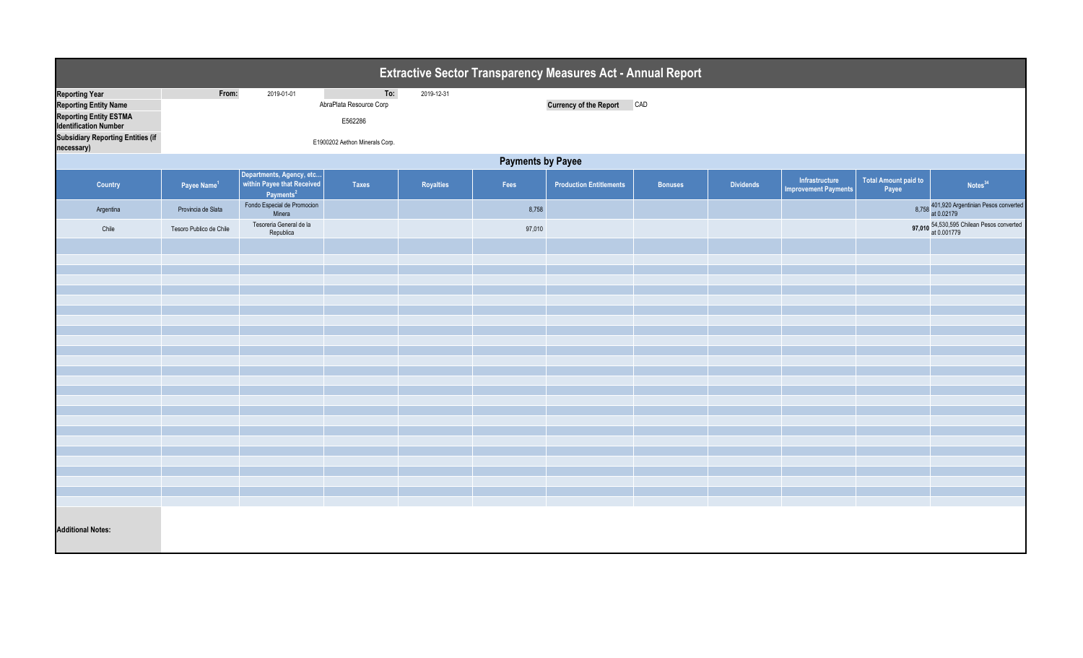| Extractive Sector Transparency Measures Act - Annual Report                                                                                                                      |                          |                                                                                 |                                                                             |            |        |                                |                |                  |                                               |                                      |                                                          |
|----------------------------------------------------------------------------------------------------------------------------------------------------------------------------------|--------------------------|---------------------------------------------------------------------------------|-----------------------------------------------------------------------------|------------|--------|--------------------------------|----------------|------------------|-----------------------------------------------|--------------------------------------|----------------------------------------------------------|
| <b>Reporting Year</b><br><b>Reporting Entity Name</b><br><b>Reporting Entity ESTMA</b><br><b>Identification Number</b><br><b>Subsidiary Reporting Entities (if</b><br>necessary) | From:                    | 2019-01-01                                                                      | To:<br>AbraPlata Resource Corp<br>E562286<br>E1900202 Aethon Minerals Corp. | 2019-12-31 |        | Currency of the Report CAD     |                |                  |                                               |                                      |                                                          |
|                                                                                                                                                                                  | <b>Payments by Payee</b> |                                                                                 |                                                                             |            |        |                                |                |                  |                                               |                                      |                                                          |
| Country                                                                                                                                                                          | Payee Name <sup>1</sup>  | Departments, Agency, etc<br>within Payee that Received<br>Payments <sup>2</sup> | Taxes                                                                       | Royalties  | Fees   | <b>Production Entitlements</b> | <b>Bonuses</b> | <b>Dividends</b> | Infrastructure<br><b>Improvement Payments</b> | <b>Total Amount paid to</b><br>Payee | Notes <sup>34</sup>                                      |
| Argentina                                                                                                                                                                        | Provincia de Slata       | Fondo Especial de Promocion<br>Minera                                           |                                                                             |            | 8,758  |                                |                |                  |                                               |                                      | 8,758 401,920 Argentinian Pesos converted<br>at 0.02179  |
| Chile                                                                                                                                                                            | Tesoro Publico de Chile  | Tesoreria General de la<br>Republica                                            |                                                                             |            | 97,010 |                                |                |                  |                                               |                                      | 97,010 54,530,595 Chilean Pesos converted<br>at 0.001779 |
|                                                                                                                                                                                  |                          |                                                                                 |                                                                             |            |        |                                |                |                  |                                               |                                      |                                                          |
|                                                                                                                                                                                  |                          |                                                                                 |                                                                             |            |        |                                |                |                  |                                               |                                      |                                                          |
|                                                                                                                                                                                  |                          |                                                                                 |                                                                             |            |        |                                |                |                  |                                               |                                      |                                                          |
|                                                                                                                                                                                  |                          |                                                                                 |                                                                             |            |        |                                |                |                  |                                               |                                      |                                                          |
|                                                                                                                                                                                  |                          |                                                                                 |                                                                             |            |        |                                |                |                  |                                               |                                      |                                                          |
|                                                                                                                                                                                  |                          |                                                                                 |                                                                             |            |        |                                |                |                  |                                               |                                      |                                                          |
|                                                                                                                                                                                  |                          |                                                                                 |                                                                             |            |        |                                |                |                  |                                               |                                      |                                                          |
|                                                                                                                                                                                  |                          |                                                                                 |                                                                             |            |        |                                |                |                  |                                               |                                      |                                                          |
|                                                                                                                                                                                  |                          |                                                                                 |                                                                             |            |        |                                |                |                  |                                               |                                      |                                                          |
|                                                                                                                                                                                  |                          |                                                                                 |                                                                             |            |        |                                |                |                  |                                               |                                      |                                                          |
|                                                                                                                                                                                  |                          |                                                                                 |                                                                             |            |        |                                |                |                  |                                               |                                      |                                                          |
|                                                                                                                                                                                  |                          |                                                                                 |                                                                             |            |        |                                |                |                  |                                               |                                      |                                                          |
|                                                                                                                                                                                  |                          |                                                                                 |                                                                             |            |        |                                |                |                  |                                               |                                      |                                                          |
|                                                                                                                                                                                  |                          |                                                                                 |                                                                             |            |        |                                |                |                  |                                               |                                      |                                                          |
|                                                                                                                                                                                  |                          |                                                                                 |                                                                             |            |        |                                |                |                  |                                               |                                      |                                                          |
| <b>Additional Notes:</b>                                                                                                                                                         |                          |                                                                                 |                                                                             |            |        |                                |                |                  |                                               |                                      |                                                          |